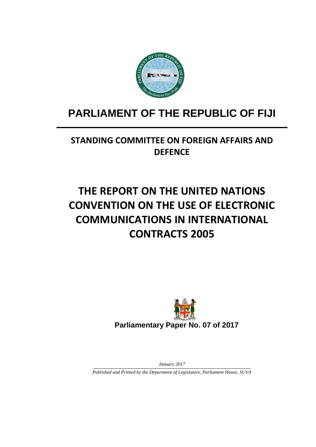

# **PARLIAMENT OF THE REPUBLIC OF FIJI**

## **STANDING COMMITTEE ON FOREIGN AFFAIRS AND DEFENCE**

# **THE REPORT ON THE UNITED NATIONS CONVENTION ON THE USE OF ELECTRONIC COMMUNICATIONS IN INTERNATIONAL CONTRACTS 2005**



**Parliamentary Paper No. 07 of 2017**

*January 2017*

*Published and Printed by the Department of Legislature, Parliament House, SUVA*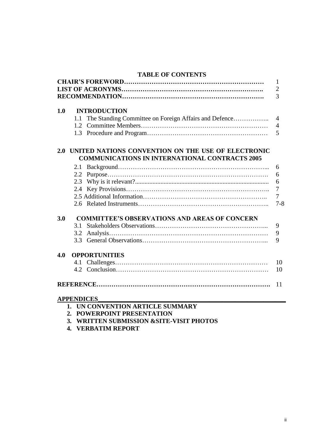#### **TABLE OF CONTENTS CHAIR'S FOREWORD…………………………………………………………** 1

|                                     |                                                      |                                                        | $\mathbf{I}$   |  |
|-------------------------------------|------------------------------------------------------|--------------------------------------------------------|----------------|--|
|                                     |                                                      |                                                        | $\overline{2}$ |  |
|                                     |                                                      |                                                        | 3              |  |
|                                     |                                                      |                                                        |                |  |
| 1.0                                 |                                                      | <b>INTRODUCTION</b>                                    |                |  |
|                                     | 1.1                                                  |                                                        | $\overline{4}$ |  |
|                                     |                                                      |                                                        | $\overline{4}$ |  |
|                                     |                                                      |                                                        | 5              |  |
|                                     |                                                      | 2.0 UNITED NATIONS CONVENTION ON THE USE OF ELECTRONIC |                |  |
|                                     |                                                      | <b>COMMUNICATIONS IN INTERNATIONAL CONTRACTS 2005</b>  |                |  |
|                                     |                                                      |                                                        | 6              |  |
|                                     | 2.2                                                  |                                                        | 6              |  |
|                                     | 2.3                                                  |                                                        | 6              |  |
|                                     |                                                      |                                                        | $\overline{7}$ |  |
|                                     |                                                      |                                                        | $\tau$         |  |
|                                     |                                                      |                                                        | $7 - 8$        |  |
| 3.0                                 | <b>COMMITTEE'S OBSERVATIONS AND AREAS OF CONCERN</b> |                                                        |                |  |
|                                     | 3.1                                                  |                                                        | 9              |  |
|                                     | 3.2                                                  |                                                        | 9              |  |
|                                     |                                                      |                                                        | 9              |  |
| 4.0                                 | <b>OPPORTUNITIES</b>                                 |                                                        |                |  |
|                                     |                                                      |                                                        | 10             |  |
|                                     |                                                      |                                                        | 10             |  |
|                                     |                                                      |                                                        | 11             |  |
|                                     | <b>APPENDICES</b>                                    |                                                        |                |  |
| IBI QOMURMUQNI A DIUQI E GUB OLI DV |                                                      |                                                        |                |  |

- **2. POWERPOINT PRESENTATION**
- **3. WRITTEN SUBMISSION &SITE-VISIT PHOTOS**
- **4. VERBATIM REPORT**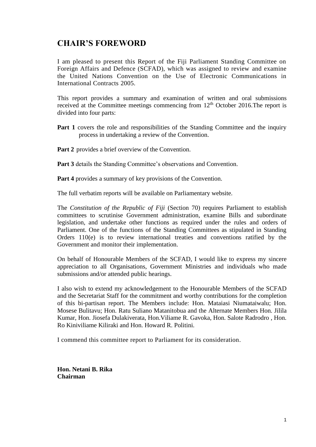## **CHAIR'S FOREWORD**

I am pleased to present this Report of the Fiji Parliament Standing Committee on Foreign Affairs and Defence (SCFAD), which was assigned to review and examine the United Nations Convention on the Use of Electronic Communications in International Contracts 2005.

This report provides a summary and examination of written and oral submissions received at the Committee meetings commencing from 12<sup>th</sup> October 2016.The report is divided into four parts:

- **Part** 1 covers the role and responsibilities of the Standing Committee and the inquiry process in undertaking a review of the Convention.
- **Part 2** provides a brief overview of the Convention.

**Part 3** details the Standing Committee's observations and Convention.

**Part 4** provides a summary of key provisions of the Convention.

The full verbatim reports will be available on Parliamentary website.

The *Constitution of the Republic of Fiji* (Section 70) requires Parliament to establish committees to scrutinise Government administration, examine Bills and subordinate legislation, and undertake other functions as required under the rules and orders of Parliament. One of the functions of the Standing Committees as stipulated in Standing Orders 110(e) is to review international treaties and conventions ratified by the Government and monitor their implementation.

On behalf of Honourable Members of the SCFAD, I would like to express my sincere appreciation to all Organisations, Government Ministries and individuals who made submissions and/or attended public hearings.

I also wish to extend my acknowledgement to the Honourable Members of the SCFAD and the Secretariat Staff for the commitment and worthy contributions for the completion of this bi-partisan report. The Members include: Hon. Mataiasi Niumataiwalu; Hon. Mosese Bulitavu; Hon. Ratu Suliano Matanitobua and the Alternate Members Hon. Jilila Kumar, Hon. Jiosefa Dulakiverata, Hon.Viliame R. Gavoka, Hon. Salote Radrodro , Hon. Ro Kiniviliame Kiliraki and Hon. Howard R. Politini.

I commend this committee report to Parliament for its consideration.

**Hon. Netani B. Rika Chairman**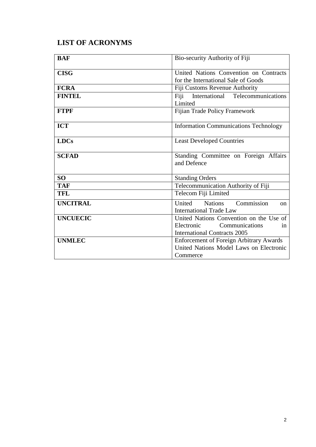## **LIST OF ACRONYMS**

| <b>BAF</b>      | Bio-security Authority of Fiji                                                                                               |
|-----------------|------------------------------------------------------------------------------------------------------------------------------|
| <b>CISG</b>     | United Nations Convention on Contracts<br>for the International Sale of Goods                                                |
| <b>FCRA</b>     | Fiji Customs Revenue Authority                                                                                               |
| <b>FINTEL</b>   | International Telecommunications<br>Fiji<br>Limited                                                                          |
| <b>FTPF</b>     | Fijian Trade Policy Framework                                                                                                |
| <b>ICT</b>      | <b>Information Communications Technology</b>                                                                                 |
| <b>LDCs</b>     | <b>Least Developed Countries</b>                                                                                             |
| <b>SCFAD</b>    | Standing Committee on Foreign Affairs<br>and Defence                                                                         |
| <b>SO</b>       | <b>Standing Orders</b>                                                                                                       |
| <b>TAF</b>      | Telecommunication Authority of Fiji                                                                                          |
| <b>TFL</b>      | Telecom Fiji Limited                                                                                                         |
| <b>UNCITRAL</b> | Commission<br>United Nations<br>on<br><b>International Trade Law</b>                                                         |
| <b>UNCUECIC</b> | United Nations Convention on the Use of<br><b>Communications</b><br>Electronic<br>in.<br><b>International Contracts 2005</b> |
| <b>UNMLEC</b>   | <b>Enforcement of Foreign Arbitrary Awards</b><br>United Nations Model Laws on Electronic<br>Commerce                        |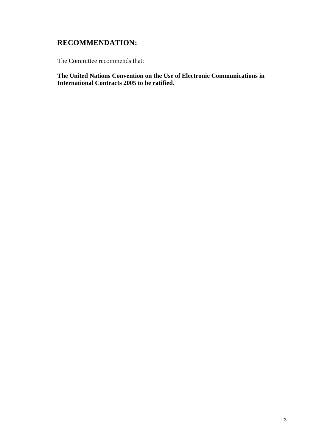## **RECOMMENDATION:**

The Committee recommends that:

**The United Nations Convention on the Use of Electronic Communications in International Contracts 2005 to be ratified.**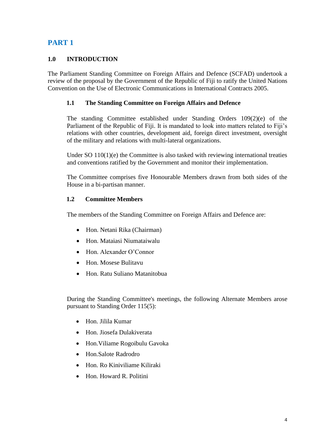#### **1.0 INTRODUCTION**

The Parliament Standing Committee on Foreign Affairs and Defence (SCFAD) undertook a review of the proposal by the Government of the Republic of Fiji to ratify the United Nations Convention on the Use of Electronic Communications in International Contracts 2005.

#### **1.1 The Standing Committee on Foreign Affairs and Defence**

The standing Committee established under Standing Orders 109(2)(e) of the Parliament of the Republic of Fiji. It is mandated to look into matters related to Fiji's relations with other countries, development aid, foreign direct investment, oversight of the military and relations with multi-lateral organizations.

Under SO  $110(1)(e)$  the Committee is also tasked with reviewing international treaties and conventions ratified by the Government and monitor their implementation.

The Committee comprises five Honourable Members drawn from both sides of the House in a bi-partisan manner.

#### **1.2 Committee Members**

The members of the Standing Committee on Foreign Affairs and Defence are:

- Hon. Netani Rika (Chairman)
- Hon. Mataiasi Niumataiwalu
- Hon. Alexander O'Connor
- Hon. Mosese Bulitavu
- Hon. Ratu Suliano Matanitobua

During the Standing Committee's meetings, the following Alternate Members arose pursuant to Standing Order 115(5):

- Hon. Jilila Kumar
- Hon. Jiosefa Dulakiverata
- Hon.Viliame Rogoibulu Gavoka
- Hon.Salote Radrodro
- Hon. Ro Kiniviliame Kiliraki
- Hon. Howard R. Politini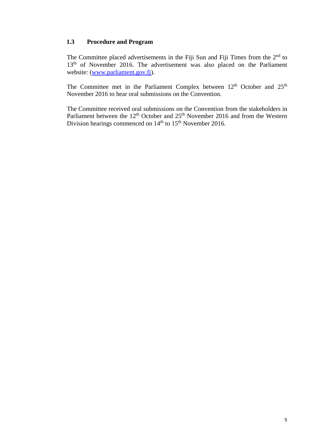#### **1.3 Procedure and Program**

The Committee placed advertisements in the Fiji Sun and Fiji Times from the 2<sup>nd</sup> to 13<sup>th</sup> of November 2016. The advertisement was also placed on the Parliament website: [\(www.parliament.gov.fj\)](http://www.parliament.gov.fj/).

The Committee met in the Parliament Complex between  $12<sup>th</sup>$  October and  $25<sup>th</sup>$ November 2016 to hear oral submissions on the Convention.

The Committee received oral submissions on the Convention from the stakeholders in Parliament between the  $12<sup>th</sup>$  October and  $25<sup>th</sup>$  November 2016 and from the Western Division hearings commenced on 14<sup>th</sup> to 15<sup>th</sup> November 2016.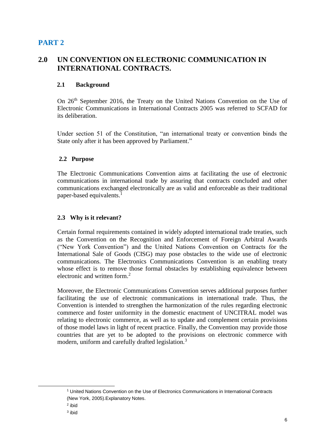## **2.0 UN CONVENTION ON ELECTRONIC COMMUNICATION IN INTERNATIONAL CONTRACTS.**

#### **2.1 Background**

On 26<sup>th</sup> September 2016, the Treaty on the United Nations Convention on the Use of Electronic Communications in International Contracts 2005 was referred to SCFAD for its deliberation.

Under section 51 of the Constitution, "an international treaty or convention binds the State only after it has been approved by Parliament."

#### **2.2 Purpose**

The Electronic Communications Convention aims at facilitating the use of electronic communications in international trade by assuring that contracts concluded and other communications exchanged electronically are as valid and enforceable as their traditional paper-based equivalents.<sup>1</sup>

#### **2.3 Why is it relevant?**

Certain formal requirements contained in widely adopted international trade treaties, such as the Convention on the Recognition and Enforcement of Foreign Arbitral Awards ("New York Convention") and the United Nations Convention on Contracts for the International Sale of Goods (CISG) may pose obstacles to the wide use of electronic communications. The Electronics Communications Convention is an enabling treaty whose effect is to remove those formal obstacles by establishing equivalence between electronic and written form.<sup>2</sup>

Moreover, the Electronic Communications Convention serves additional purposes further facilitating the use of electronic communications in international trade. Thus, the Convention is intended to strengthen the harmonization of the rules regarding electronic commerce and foster uniformity in the domestic enactment of UNCITRAL model was relating to electronic commerce, as well as to update and complement certain provisions of those model laws in light of recent practice. Finally, the Convention may provide those countries that are yet to be adopted to the provisions on electronic commerce with modern, uniform and carefully drafted legislation.<sup>3</sup>

-

<sup>1</sup> United Nations Convention on the Use of Electronics Communications in International Contracts (New York, 2005).Explanatory Notes.

<sup>2</sup> ibid

<sup>3</sup> ibid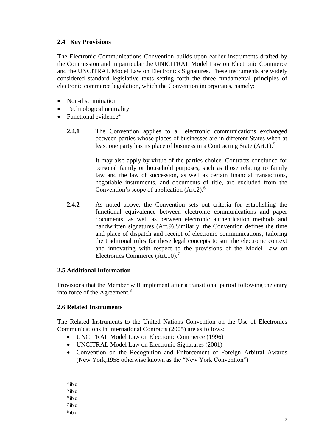#### **2.4 Key Provisions**

The Electronic Communications Convention builds upon earlier instruments drafted by the Commission and in particular the UNICITRAL Model Law on Electronic Commerce and the UNCITRAL Model Law on Electronics Signatures. These instruments are widely considered standard legislative texts setting forth the three fundamental principles of electronic commerce legislation, which the Convention incorporates, namely:

- Non-discrimination
- Technological neutrality
- Functional evidence<sup>4</sup>
	- **2.4.1** The Convention applies to all electronic communications exchanged between parties whose places of businesses are in different States when at least one party has its place of business in a Contracting State (Art.1).<sup>5</sup>

It may also apply by virtue of the parties choice. Contracts concluded for personal family or household purposes, such as those relating to family law and the law of succession, as well as certain financial transactions, negotiable instruments, and documents of title, are excluded from the Convention's scope of application (Art.2).<sup>6</sup>

**2.4.2** As noted above, the Convention sets out criteria for establishing the functional equivalence between electronic communications and paper documents, as well as between electronic authentication methods and handwritten signatures (Art.9).Similarly, the Convention defines the time and place of dispatch and receipt of electronic communications, tailoring the traditional rules for these legal concepts to suit the electronic context and innovating with respect to the provisions of the Model Law on Electronics Commerce (Art.10).<sup>7</sup>

#### **2.5 Additional Information**

Provisions that the Member will implement after a transitional period following the entry into force of the Agreement.<sup>8</sup>

#### **2.6 Related Instruments**

The Related Instruments to the United Nations Convention on the Use of Electronics Communications in International Contracts (2005) are as follows:

- UNCITRAL Model Law on Electronic Commerce (1996)
- UNCITRAL Model Law on Electronic Signatures (2001)
- Convention on the Recognition and Enforcement of Foreign Arbitral Awards (New York,1958 otherwise known as the "New York Convention")
- 4 ibid
- 5 ibid

-

- 6 ibid
- 7 ibid
- 8 ibid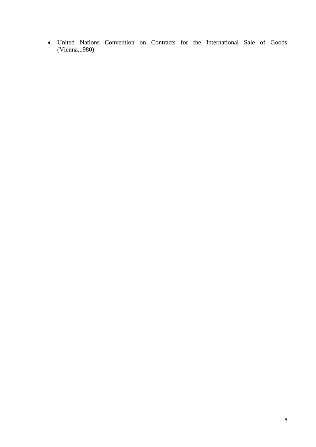United Nations Convention on Contracts for the International Sale of Goods (Vienna,1980)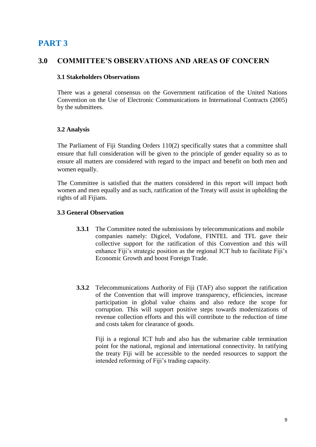## **3.0 COMMITTEE'S OBSERVATIONS AND AREAS OF CONCERN**

#### **3.1 Stakeholders Observations**

There was a general consensus on the Government ratification of the United Nations Convention on the Use of Electronic Communications in International Contracts (2005) by the submittees.

#### **3.2 Analysis**

The Parliament of Fiji Standing Orders 110(2) specifically states that a committee shall ensure that full consideration will be given to the principle of gender equality so as to ensure all matters are considered with regard to the impact and benefit on both men and women equally.

The Committee is satisfied that the matters considered in this report will impact both women and men equally and as such, ratification of the Treaty will assist in upholding the rights of all Fijians.

#### **3.3 General Observation**

- **3.3.1** The Committee noted the submissions by telecommunications and mobile companies namely: Digicel, Vodafone, FINTEL and TFL gave their collective support for the ratification of this Convention and this will enhance Fiji's strategic position as the regional ICT hub to facilitate Fiji's Economic Growth and boost Foreign Trade.
- **3.3.2** Telecommunications Authority of Fiji (TAF) also support the ratification of the Convention that will improve transparency, efficiencies, increase participation in global value chains and also reduce the scope for corruption. This will support positive steps towards modernizations of revenue collection efforts and this will contribute to the reduction of time and costs taken for clearance of goods.

Fiji is a regional ICT hub and also has the submarine cable termination point for the national, regional and international connectivity. In ratifying the treaty Fiji will be accessible to the needed resources to support the intended reforming of Fiji's trading capacity.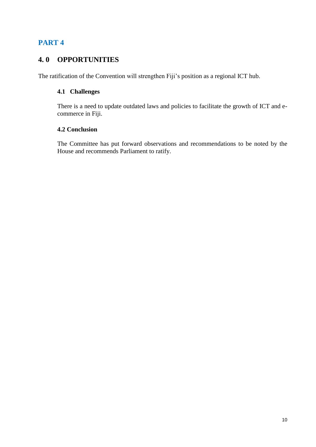## **4. 0 OPPORTUNITIES**

The ratification of the Convention will strengthen Fiji's position as a regional ICT hub.

#### **4.1 Challenges**

There is a need to update outdated laws and policies to facilitate the growth of ICT and ecommerce in Fiji.

#### **4.2 Conclusion**

The Committee has put forward observations and recommendations to be noted by the House and recommends Parliament to ratify.